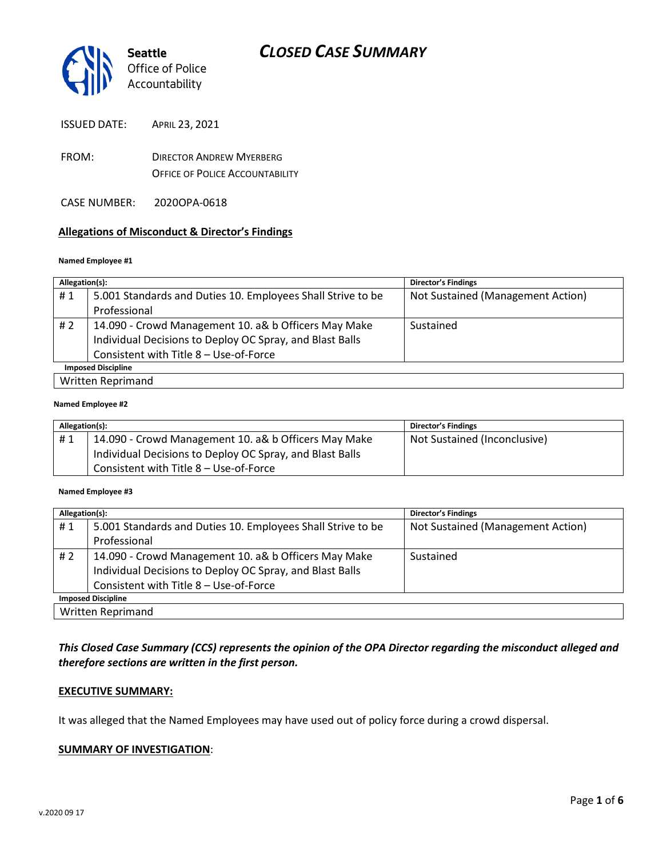

ISSUED DATE: APRIL 23, 2021

- FROM: DIRECTOR ANDREW MYERBERG OFFICE OF POLICE ACCOUNTABILITY
- CASE NUMBER: 2020OPA-0618

### **Allegations of Misconduct & Director's Findings**

#### **Named Employee #1**

| Allegation(s):            |                                                             | <b>Director's Findings</b>        |  |
|---------------------------|-------------------------------------------------------------|-----------------------------------|--|
| #1                        | 5.001 Standards and Duties 10. Employees Shall Strive to be | Not Sustained (Management Action) |  |
|                           | Professional                                                |                                   |  |
| # $2$                     | 14.090 - Crowd Management 10. a& b Officers May Make        | Sustained                         |  |
|                           | Individual Decisions to Deploy OC Spray, and Blast Balls    |                                   |  |
|                           | Consistent with Title 8 - Use-of-Force                      |                                   |  |
| <b>Imposed Discipline</b> |                                                             |                                   |  |
| Written Reprimand         |                                                             |                                   |  |

#### **Named Employee #2**

| Allegation(s): |                                                          | <b>Director's Findings</b>   |
|----------------|----------------------------------------------------------|------------------------------|
| #1             | 14.090 - Crowd Management 10. a& b Officers May Make     | Not Sustained (Inconclusive) |
|                | Individual Decisions to Deploy OC Spray, and Blast Balls |                              |
|                | Consistent with Title 8 - Use-of-Force                   |                              |

#### **Named Employee #3**

| Allegation(s):            |                                                             | <b>Director's Findings</b>        |  |  |
|---------------------------|-------------------------------------------------------------|-----------------------------------|--|--|
| #1                        | 5.001 Standards and Duties 10. Employees Shall Strive to be | Not Sustained (Management Action) |  |  |
|                           | Professional                                                |                                   |  |  |
| # 2                       | 14.090 - Crowd Management 10. a& b Officers May Make        | Sustained                         |  |  |
|                           | Individual Decisions to Deploy OC Spray, and Blast Balls    |                                   |  |  |
|                           | Consistent with Title 8 - Use-of-Force                      |                                   |  |  |
| <b>Imposed Discipline</b> |                                                             |                                   |  |  |
| <b>Written Reprimand</b>  |                                                             |                                   |  |  |

### *This Closed Case Summary (CCS) represents the opinion of the OPA Director regarding the misconduct alleged and therefore sections are written in the first person.*

#### **EXECUTIVE SUMMARY:**

It was alleged that the Named Employees may have used out of policy force during a crowd dispersal.

#### **SUMMARY OF INVESTIGATION**: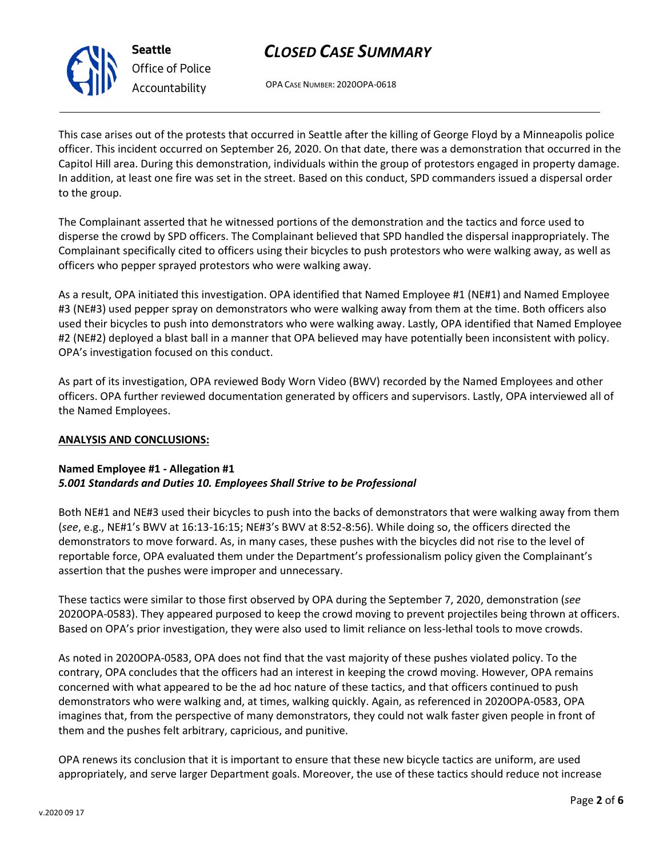

**Seattle** *Office of Police Accountability*

# *CLOSED CASE SUMMARY*

OPA CASE NUMBER: 2020OPA-0618

This case arises out of the protests that occurred in Seattle after the killing of George Floyd by a Minneapolis police officer. This incident occurred on September 26, 2020. On that date, there was a demonstration that occurred in the Capitol Hill area. During this demonstration, individuals within the group of protestors engaged in property damage. In addition, at least one fire was set in the street. Based on this conduct, SPD commanders issued a dispersal order to the group.

The Complainant asserted that he witnessed portions of the demonstration and the tactics and force used to disperse the crowd by SPD officers. The Complainant believed that SPD handled the dispersal inappropriately. The Complainant specifically cited to officers using their bicycles to push protestors who were walking away, as well as officers who pepper sprayed protestors who were walking away.

As a result, OPA initiated this investigation. OPA identified that Named Employee #1 (NE#1) and Named Employee #3 (NE#3) used pepper spray on demonstrators who were walking away from them at the time. Both officers also used their bicycles to push into demonstrators who were walking away. Lastly, OPA identified that Named Employee #2 (NE#2) deployed a blast ball in a manner that OPA believed may have potentially been inconsistent with policy. OPA's investigation focused on this conduct.

As part of its investigation, OPA reviewed Body Worn Video (BWV) recorded by the Named Employees and other officers. OPA further reviewed documentation generated by officers and supervisors. Lastly, OPA interviewed all of the Named Employees.

## **ANALYSIS AND CONCLUSIONS:**

### **Named Employee #1 - Allegation #1** *5.001 Standards and Duties 10. Employees Shall Strive to be Professional*

Both NE#1 and NE#3 used their bicycles to push into the backs of demonstrators that were walking away from them (*see*, e.g., NE#1's BWV at 16:13-16:15; NE#3's BWV at 8:52-8:56). While doing so, the officers directed the demonstrators to move forward. As, in many cases, these pushes with the bicycles did not rise to the level of reportable force, OPA evaluated them under the Department's professionalism policy given the Complainant's assertion that the pushes were improper and unnecessary.

These tactics were similar to those first observed by OPA during the September 7, 2020, demonstration (*see* 2020OPA-0583). They appeared purposed to keep the crowd moving to prevent projectiles being thrown at officers. Based on OPA's prior investigation, they were also used to limit reliance on less-lethal tools to move crowds.

As noted in 2020OPA-0583, OPA does not find that the vast majority of these pushes violated policy. To the contrary, OPA concludes that the officers had an interest in keeping the crowd moving. However, OPA remains concerned with what appeared to be the ad hoc nature of these tactics, and that officers continued to push demonstrators who were walking and, at times, walking quickly. Again, as referenced in 2020OPA-0583, OPA imagines that, from the perspective of many demonstrators, they could not walk faster given people in front of them and the pushes felt arbitrary, capricious, and punitive.

OPA renews its conclusion that it is important to ensure that these new bicycle tactics are uniform, are used appropriately, and serve larger Department goals. Moreover, the use of these tactics should reduce not increase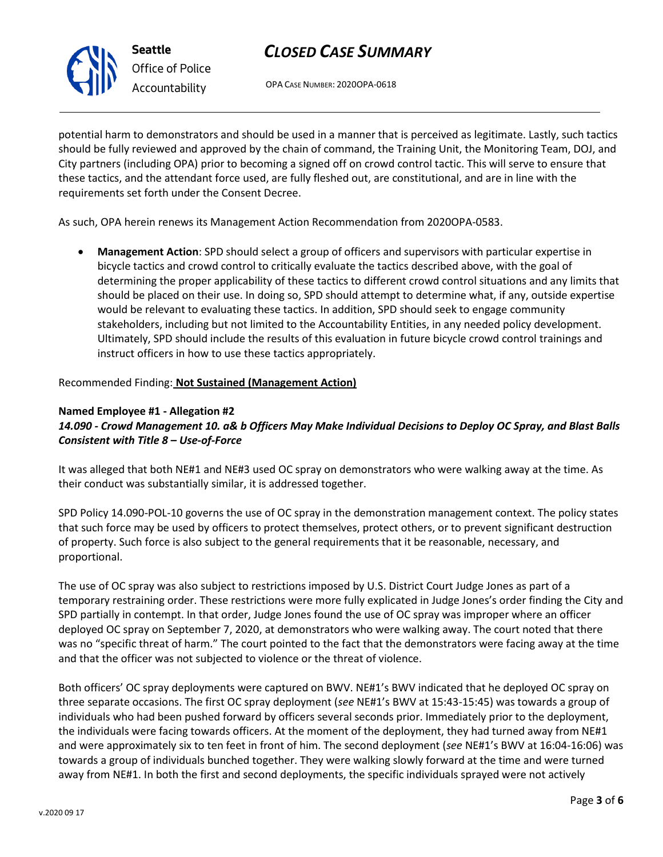

# *CLOSED CASE SUMMARY*

OPA CASE NUMBER: 2020OPA-0618

potential harm to demonstrators and should be used in a manner that is perceived as legitimate. Lastly, such tactics should be fully reviewed and approved by the chain of command, the Training Unit, the Monitoring Team, DOJ, and City partners (including OPA) prior to becoming a signed off on crowd control tactic. This will serve to ensure that these tactics, and the attendant force used, are fully fleshed out, are constitutional, and are in line with the requirements set forth under the Consent Decree.

As such, OPA herein renews its Management Action Recommendation from 2020OPA-0583.

• **Management Action**: SPD should select a group of officers and supervisors with particular expertise in bicycle tactics and crowd control to critically evaluate the tactics described above, with the goal of determining the proper applicability of these tactics to different crowd control situations and any limits that should be placed on their use. In doing so, SPD should attempt to determine what, if any, outside expertise would be relevant to evaluating these tactics. In addition, SPD should seek to engage community stakeholders, including but not limited to the Accountability Entities, in any needed policy development. Ultimately, SPD should include the results of this evaluation in future bicycle crowd control trainings and instruct officers in how to use these tactics appropriately.

Recommended Finding: **Not Sustained (Management Action)**

## **Named Employee #1 - Allegation #2** *14.090 - Crowd Management 10. a& b Officers May Make Individual Decisions to Deploy OC Spray, and Blast Balls Consistent with Title 8 – Use-of-Force*

It was alleged that both NE#1 and NE#3 used OC spray on demonstrators who were walking away at the time. As their conduct was substantially similar, it is addressed together.

SPD Policy 14.090-POL-10 governs the use of OC spray in the demonstration management context. The policy states that such force may be used by officers to protect themselves, protect others, or to prevent significant destruction of property. Such force is also subject to the general requirements that it be reasonable, necessary, and proportional.

The use of OC spray was also subject to restrictions imposed by U.S. District Court Judge Jones as part of a temporary restraining order. These restrictions were more fully explicated in Judge Jones's order finding the City and SPD partially in contempt. In that order, Judge Jones found the use of OC spray was improper where an officer deployed OC spray on September 7, 2020, at demonstrators who were walking away. The court noted that there was no "specific threat of harm." The court pointed to the fact that the demonstrators were facing away at the time and that the officer was not subjected to violence or the threat of violence.

Both officers' OC spray deployments were captured on BWV. NE#1's BWV indicated that he deployed OC spray on three separate occasions. The first OC spray deployment (*see* NE#1's BWV at 15:43-15:45) was towards a group of individuals who had been pushed forward by officers several seconds prior. Immediately prior to the deployment, the individuals were facing towards officers. At the moment of the deployment, they had turned away from NE#1 and were approximately six to ten feet in front of him. The second deployment (*see* NE#1's BWV at 16:04-16:06) was towards a group of individuals bunched together. They were walking slowly forward at the time and were turned away from NE#1. In both the first and second deployments, the specific individuals sprayed were not actively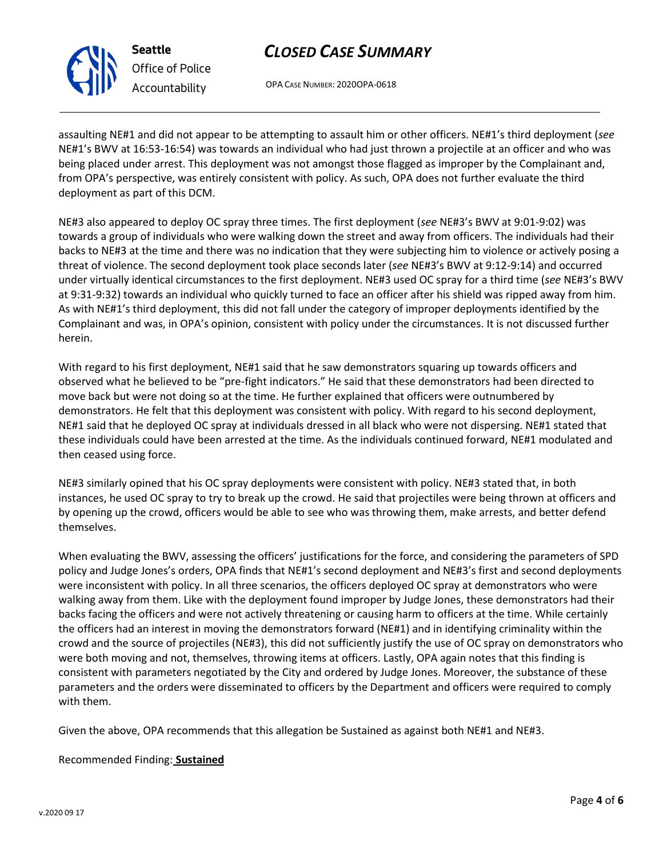

**Seattle** *Office of Police Accountability*

# *CLOSED CASE SUMMARY*

OPA CASE NUMBER: 2020OPA-0618

assaulting NE#1 and did not appear to be attempting to assault him or other officers. NE#1's third deployment (*see* NE#1's BWV at 16:53-16:54) was towards an individual who had just thrown a projectile at an officer and who was being placed under arrest. This deployment was not amongst those flagged as improper by the Complainant and, from OPA's perspective, was entirely consistent with policy. As such, OPA does not further evaluate the third deployment as part of this DCM.

NE#3 also appeared to deploy OC spray three times. The first deployment (*see* NE#3's BWV at 9:01-9:02) was towards a group of individuals who were walking down the street and away from officers. The individuals had their backs to NE#3 at the time and there was no indication that they were subjecting him to violence or actively posing a threat of violence. The second deployment took place seconds later (*see* NE#3's BWV at 9:12-9:14) and occurred under virtually identical circumstances to the first deployment. NE#3 used OC spray for a third time (*see* NE#3's BWV at 9:31-9:32) towards an individual who quickly turned to face an officer after his shield was ripped away from him. As with NE#1's third deployment, this did not fall under the category of improper deployments identified by the Complainant and was, in OPA's opinion, consistent with policy under the circumstances. It is not discussed further herein.

With regard to his first deployment, NE#1 said that he saw demonstrators squaring up towards officers and observed what he believed to be "pre-fight indicators." He said that these demonstrators had been directed to move back but were not doing so at the time. He further explained that officers were outnumbered by demonstrators. He felt that this deployment was consistent with policy. With regard to his second deployment, NE#1 said that he deployed OC spray at individuals dressed in all black who were not dispersing. NE#1 stated that these individuals could have been arrested at the time. As the individuals continued forward, NE#1 modulated and then ceased using force.

NE#3 similarly opined that his OC spray deployments were consistent with policy. NE#3 stated that, in both instances, he used OC spray to try to break up the crowd. He said that projectiles were being thrown at officers and by opening up the crowd, officers would be able to see who was throwing them, make arrests, and better defend themselves.

When evaluating the BWV, assessing the officers' justifications for the force, and considering the parameters of SPD policy and Judge Jones's orders, OPA finds that NE#1's second deployment and NE#3's first and second deployments were inconsistent with policy. In all three scenarios, the officers deployed OC spray at demonstrators who were walking away from them. Like with the deployment found improper by Judge Jones, these demonstrators had their backs facing the officers and were not actively threatening or causing harm to officers at the time. While certainly the officers had an interest in moving the demonstrators forward (NE#1) and in identifying criminality within the crowd and the source of projectiles (NE#3), this did not sufficiently justify the use of OC spray on demonstrators who were both moving and not, themselves, throwing items at officers. Lastly, OPA again notes that this finding is consistent with parameters negotiated by the City and ordered by Judge Jones. Moreover, the substance of these parameters and the orders were disseminated to officers by the Department and officers were required to comply with them.

Given the above, OPA recommends that this allegation be Sustained as against both NE#1 and NE#3.

Recommended Finding: **Sustained**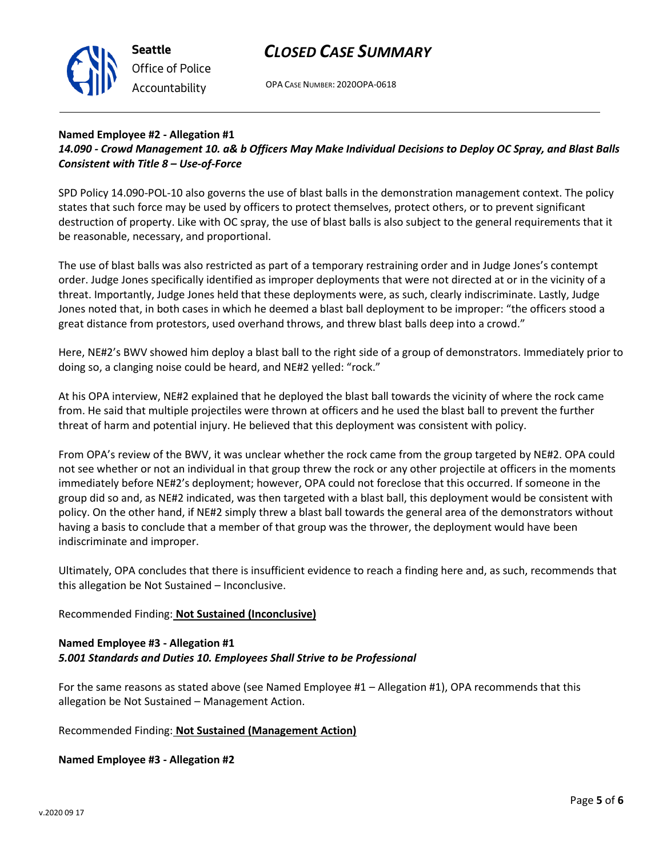

## *CLOSED CASE SUMMARY*

OPA CASE NUMBER: 2020OPA-0618

## **Named Employee #2 - Allegation #1** *14.090 - Crowd Management 10. a& b Officers May Make Individual Decisions to Deploy OC Spray, and Blast Balls Consistent with Title 8 – Use-of-Force*

SPD Policy 14.090-POL-10 also governs the use of blast balls in the demonstration management context. The policy states that such force may be used by officers to protect themselves, protect others, or to prevent significant destruction of property. Like with OC spray, the use of blast balls is also subject to the general requirements that it be reasonable, necessary, and proportional.

The use of blast balls was also restricted as part of a temporary restraining order and in Judge Jones's contempt order. Judge Jones specifically identified as improper deployments that were not directed at or in the vicinity of a threat. Importantly, Judge Jones held that these deployments were, as such, clearly indiscriminate. Lastly, Judge Jones noted that, in both cases in which he deemed a blast ball deployment to be improper: "the officers stood a great distance from protestors, used overhand throws, and threw blast balls deep into a crowd."

Here, NE#2's BWV showed him deploy a blast ball to the right side of a group of demonstrators. Immediately prior to doing so, a clanging noise could be heard, and NE#2 yelled: "rock."

At his OPA interview, NE#2 explained that he deployed the blast ball towards the vicinity of where the rock came from. He said that multiple projectiles were thrown at officers and he used the blast ball to prevent the further threat of harm and potential injury. He believed that this deployment was consistent with policy.

From OPA's review of the BWV, it was unclear whether the rock came from the group targeted by NE#2. OPA could not see whether or not an individual in that group threw the rock or any other projectile at officers in the moments immediately before NE#2's deployment; however, OPA could not foreclose that this occurred. If someone in the group did so and, as NE#2 indicated, was then targeted with a blast ball, this deployment would be consistent with policy. On the other hand, if NE#2 simply threw a blast ball towards the general area of the demonstrators without having a basis to conclude that a member of that group was the thrower, the deployment would have been indiscriminate and improper.

Ultimately, OPA concludes that there is insufficient evidence to reach a finding here and, as such, recommends that this allegation be Not Sustained – Inconclusive.

## Recommended Finding: **Not Sustained (Inconclusive)**

## **Named Employee #3 - Allegation #1** *5.001 Standards and Duties 10. Employees Shall Strive to be Professional*

For the same reasons as stated above (see Named Employee #1 – Allegation #1), OPA recommends that this allegation be Not Sustained – Management Action.

Recommended Finding: **Not Sustained (Management Action)**

**Named Employee #3 - Allegation #2**